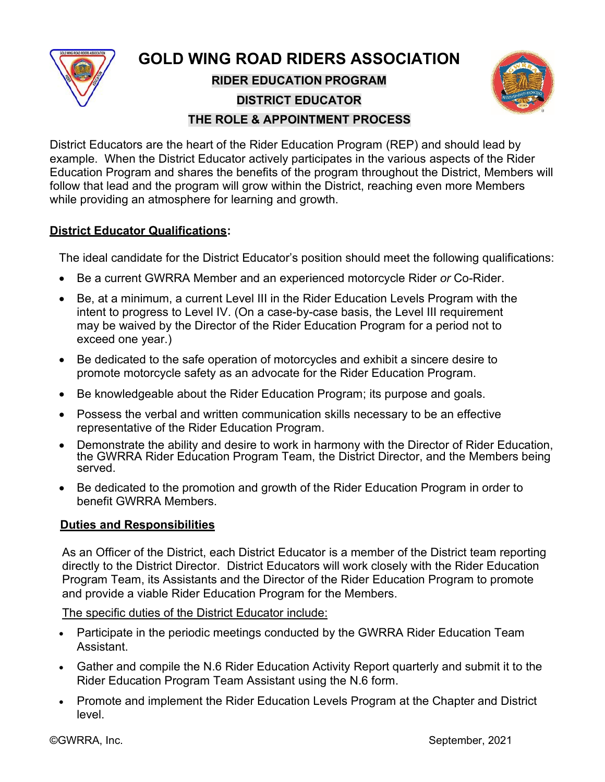

**GOLD WING ROAD RIDERS ASSOCIATION RIDER EDUCATION PROGRAM DISTRICT EDUCATOR THE ROLE & APPOINTMENT PROCESS**



### District Educators are the heart of the Rider Education Program (REP) and should lead by example. When the District Educator actively participates in the various aspects of the Rider Education Program and shares the benefits of the program throughout the District, Members will follow that lead and the program will grow within the District, reaching even more Members while providing an atmosphere for learning and growth.

# **District Educator Qualifications:**

The ideal candidate for the District Educator's position should meet the following qualifications:

- Be a current GWRRA Member and an experienced motorcycle Rider *or* Co-Rider.
- Be, at a minimum, a current Level III in the Rider Education Levels Program with the intent to progress to Level IV. (On a case-by-case basis, the Level III requirement may be waived by the Director of the Rider Education Program for a period not to exceed one year.)
- Be dedicated to the safe operation of motorcycles and exhibit a sincere desire to promote motorcycle safety as an advocate for the Rider Education Program.
- Be knowledgeable about the Rider Education Program; its purpose and goals.
- Possess the verbal and written communication skills necessary to be an effective representative of the Rider Education Program.
- Demonstrate the ability and desire to work in harmony with the Director of Rider Education, the GWRRA Rider Education Program Team, the District Director, and the Members being served.
- Be dedicated to the promotion and growth of the Rider Education Program in order to benefit GWRRA Members.

# **Duties and Responsibilities**

As an Officer of the District, each District Educator is a member of the District team reporting directly to the District Director. District Educators will work closely with the Rider Education Program Team, its Assistants and the Director of the Rider Education Program to promote and provide a viable Rider Education Program for the Members.

# The specific duties of the District Educator include:

- Participate in the periodic meetings conducted by the GWRRA Rider Education Team Assistant.
- Gather and compile the N.6 Rider Education Activity Report quarterly and submit it to the Rider Education Program Team Assistant using the N.6 form.
- Promote and implement the Rider Education Levels Program at the Chapter and District level.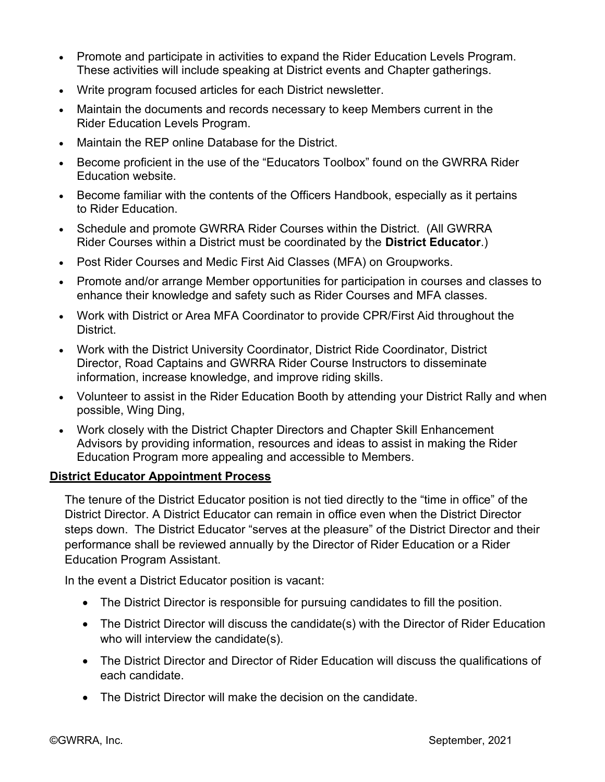- Promote and participate in activities to expand the Rider Education Levels Program. These activities will include speaking at District events and Chapter gatherings.
- Write program focused articles for each District newsletter.
- Maintain the documents and records necessary to keep Members current in the Rider Education Levels Program.
- Maintain the REP online Database for the District.
- Become proficient in the use of the "Educators Toolbox" found on the GWRRA Rider Education website.
- Become familiar with the contents of the Officers Handbook, especially as it pertains to Rider Education.
- Schedule and promote GWRRA Rider Courses within the District. (All GWRRA Rider Courses within a District must be coordinated by the **District Educator**.)
- Post Rider Courses and Medic First Aid Classes (MFA) on Groupworks.
- Promote and/or arrange Member opportunities for participation in courses and classes to enhance their knowledge and safety such as Rider Courses and MFA classes.
- Work with District or Area MFA Coordinator to provide CPR/First Aid throughout the District.
- Work with the District University Coordinator, District Ride Coordinator, District Director, Road Captains and GWRRA Rider Course Instructors to disseminate information, increase knowledge, and improve riding skills.
- Volunteer to assist in the Rider Education Booth by attending your District Rally and when possible, Wing Ding,
- Work closely with the District Chapter Directors and Chapter Skill Enhancement Advisors by providing information, resources and ideas to assist in making the Rider Education Program more appealing and accessible to Members.

### **District Educator Appointment Process**

The tenure of the District Educator position is not tied directly to the "time in office" of the District Director. A District Educator can remain in office even when the District Director steps down. The District Educator "serves at the pleasure" of the District Director and their performance shall be reviewed annually by the Director of Rider Education or a Rider Education Program Assistant.

In the event a District Educator position is vacant:

- The District Director is responsible for pursuing candidates to fill the position.
- The District Director will discuss the candidate(s) with the Director of Rider Education who will interview the candidate(s).
- The District Director and Director of Rider Education will discuss the qualifications of each candidate.
- The District Director will make the decision on the candidate.